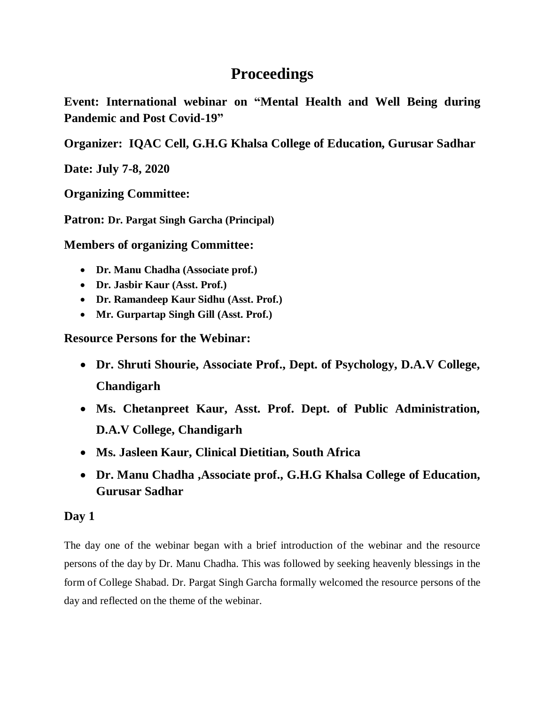## **Proceedings**

**Event: International webinar on "Mental Health and Well Being during Pandemic and Post Covid-19"** 

**Organizer: IQAC Cell, G.H.G Khalsa College of Education, Gurusar Sadhar** 

**Date: July 7-8, 2020**

**Organizing Committee:** 

**Patron: Dr. Pargat Singh Garcha (Principal)**

**Members of organizing Committee:**

- **Dr. Manu Chadha (Associate prof.)**
- **Dr. Jasbir Kaur (Asst. Prof.)**
- **Dr. Ramandeep Kaur Sidhu (Asst. Prof.)**
- **Mr. Gurpartap Singh Gill (Asst. Prof.)**

**Resource Persons for the Webinar:**

- **Dr. Shruti Shourie, Associate Prof., Dept. of Psychology, D.A.V College, Chandigarh**
- **Ms. Chetanpreet Kaur, Asst. Prof. Dept. of Public Administration, D.A.V College, Chandigarh**
- **Ms. Jasleen Kaur, Clinical Dietitian, South Africa**
- **Dr. Manu Chadha ,Associate prof., G.H.G Khalsa College of Education, Gurusar Sadhar**

## **Day 1**

The day one of the webinar began with a brief introduction of the webinar and the resource persons of the day by Dr. Manu Chadha. This was followed by seeking heavenly blessings in the form of College Shabad. Dr. Pargat Singh Garcha formally welcomed the resource persons of the day and reflected on the theme of the webinar.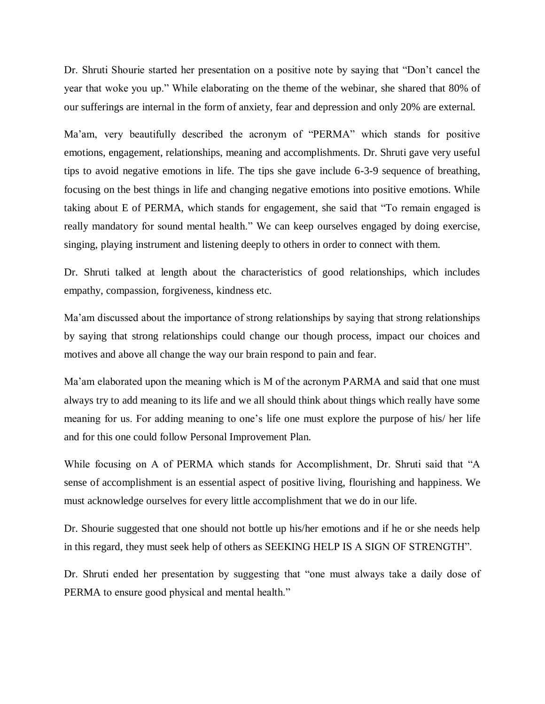Dr. Shruti Shourie started her presentation on a positive note by saying that "Don't cancel the year that woke you up." While elaborating on the theme of the webinar, she shared that 80% of our sufferings are internal in the form of anxiety, fear and depression and only 20% are external.

Ma'am, very beautifully described the acronym of "PERMA" which stands for positive emotions, engagement, relationships, meaning and accomplishments. Dr. Shruti gave very useful tips to avoid negative emotions in life. The tips she gave include 6-3-9 sequence of breathing, focusing on the best things in life and changing negative emotions into positive emotions. While taking about E of PERMA, which stands for engagement, she said that "To remain engaged is really mandatory for sound mental health." We can keep ourselves engaged by doing exercise, singing, playing instrument and listening deeply to others in order to connect with them.

Dr. Shruti talked at length about the characteristics of good relationships, which includes empathy, compassion, forgiveness, kindness etc.

Ma'am discussed about the importance of strong relationships by saying that strong relationships by saying that strong relationships could change our though process, impact our choices and motives and above all change the way our brain respond to pain and fear.

Ma'am elaborated upon the meaning which is M of the acronym PARMA and said that one must always try to add meaning to its life and we all should think about things which really have some meaning for us. For adding meaning to one's life one must explore the purpose of his/ her life and for this one could follow Personal Improvement Plan.

While focusing on A of PERMA which stands for Accomplishment, Dr. Shruti said that "A sense of accomplishment is an essential aspect of positive living, flourishing and happiness. We must acknowledge ourselves for every little accomplishment that we do in our life.

Dr. Shourie suggested that one should not bottle up his/her emotions and if he or she needs help in this regard, they must seek help of others as SEEKING HELP IS A SIGN OF STRENGTH".

Dr. Shruti ended her presentation by suggesting that "one must always take a daily dose of PERMA to ensure good physical and mental health."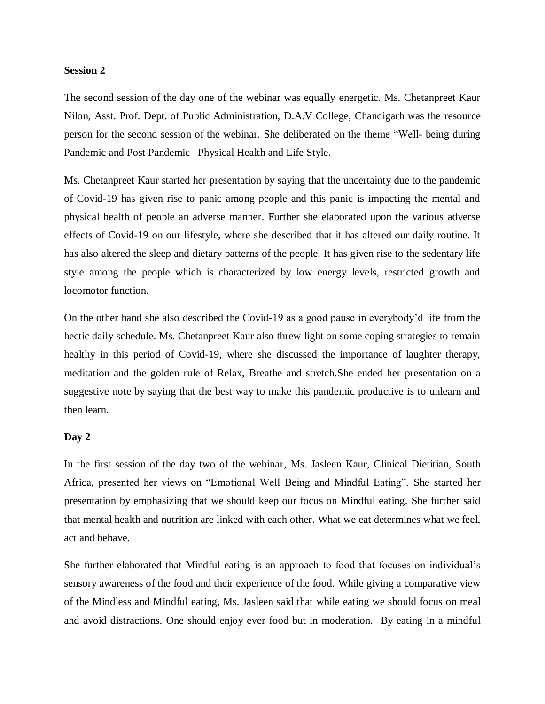## **Session 2**

The second session of the day one of the webinar was equally energetic. Ms. Chetanpreet Kaur Nilon, Asst. Prof. Dept. of Public Administration, D.A.V College, Chandigarh was the resource person for the second session of the webinar. She deliberated on the theme "Well- being during Pandemic and Post Pandemic –Physical Health and Life Style.

Ms. Chetanpreet Kaur started her presentation by saying that the uncertainty due to the pandemic of Covid-19 has given rise to panic among people and this panic is impacting the mental and physical health of people an adverse manner. Further she elaborated upon the various adverse effects of Covid-19 on our lifestyle, where she described that it has altered our daily routine. It has also altered the sleep and dietary patterns of the people. It has given rise to the sedentary life style among the people which is characterized by low energy levels, restricted growth and locomotor function.

On the other hand she also described the Covid-19 as a good pause in everybody'd life from the hectic daily schedule. Ms. Chetanpreet Kaur also threw light on some coping strategies to remain healthy in this period of Covid-19, where she discussed the importance of laughter therapy, meditation and the golden rule of Relax, Breathe and stretch.She ended her presentation on a suggestive note by saying that the best way to make this pandemic productive is to unlearn and then learn.

## **Day 2**

In the first session of the day two of the webinar, Ms. Jasleen Kaur, Clinical Dietitian, South Africa, presented her views on "Emotional Well Being and Mindful Eating". She started her presentation by emphasizing that we should keep our focus on Mindful eating. She further said that mental health and nutrition are linked with each other. What we eat determines what we feel, act and behave.

She further elaborated that Mindful eating is an approach to food that focuses on individual's sensory awareness of the food and their experience of the food. While giving a comparative view of the Mindless and Mindful eating, Ms. Jasleen said that while eating we should focus on meal and avoid distractions. One should enjoy ever food but in moderation. By eating in a mindful